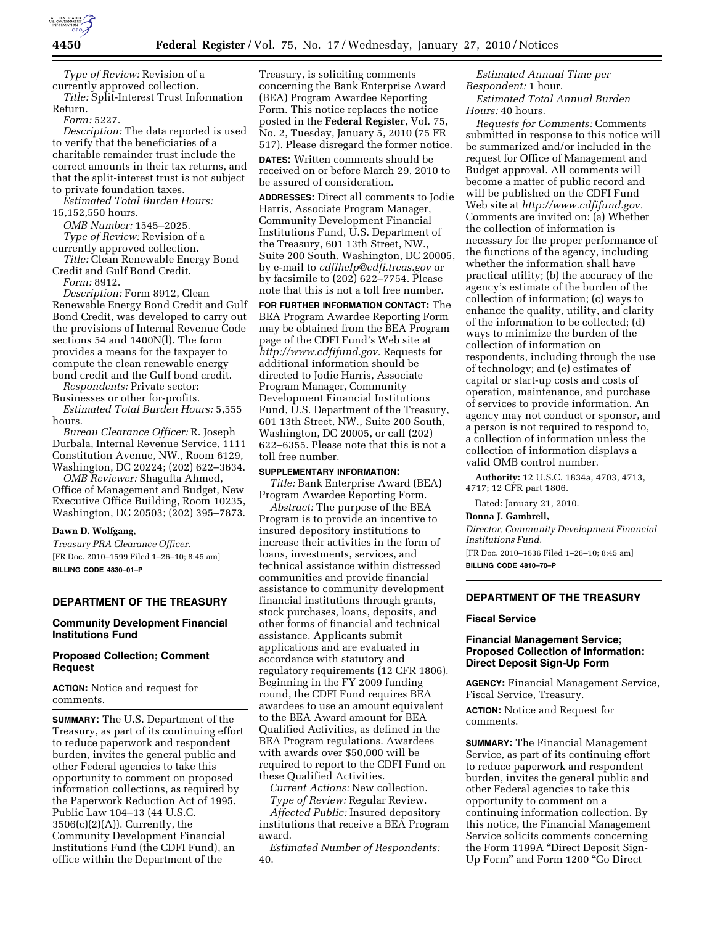

*Type of Review:* Revision of a currently approved collection. *Title:* Split-Interest Trust Information

Return. *Form:* 5227.

*Description:* The data reported is used to verify that the beneficiaries of a charitable remainder trust include the correct amounts in their tax returns, and that the split-interest trust is not subject to private foundation taxes.

*Estimated Total Burden Hours:*  15,152,550 hours.

*OMB Number:* 1545–2025. *Type of Review:* Revision of a currently approved collection.

*Title:* Clean Renewable Energy Bond Credit and Gulf Bond Credit.

*Form:* 8912.

*Description:* Form 8912, Clean Renewable Energy Bond Credit and Gulf Bond Credit, was developed to carry out the provisions of Internal Revenue Code sections 54 and 1400N(l). The form provides a means for the taxpayer to compute the clean renewable energy bond credit and the Gulf bond credit.

*Respondents:* Private sector: Businesses or other for-profits. *Estimated Total Burden Hours:* 5,555

hours. *Bureau Clearance Officer:* R. Joseph Durbala, Internal Revenue Service, 1111 Constitution Avenue, NW., Room 6129, Washington, DC 20224; (202) 622–3634.

*OMB Reviewer:* Shagufta Ahmed, Office of Management and Budget, New Executive Office Building, Room 10235, Washington, DC 20503; (202) 395–7873.

#### **Dawn D. Wolfgang,**

*Treasury PRA Clearance Officer.*  [FR Doc. 2010–1599 Filed 1–26–10; 8:45 am] **BILLING CODE 4830–01–P** 

#### **DEPARTMENT OF THE TREASURY**

# **Community Development Financial Institutions Fund**

#### **Proposed Collection; Comment Request**

**ACTION:** Notice and request for comments.

**SUMMARY:** The U.S. Department of the Treasury, as part of its continuing effort to reduce paperwork and respondent burden, invites the general public and other Federal agencies to take this opportunity to comment on proposed information collections, as required by the Paperwork Reduction Act of 1995, Public Law 104–13 (44 U.S.C. 3506(c)(2)(A)). Currently, the Community Development Financial Institutions Fund (the CDFI Fund), an office within the Department of the

Treasury, is soliciting comments concerning the Bank Enterprise Award (BEA) Program Awardee Reporting Form. This notice replaces the notice posted in the **Federal Register**, Vol. 75, No. 2, Tuesday, January 5, 2010 (75 FR 517). Please disregard the former notice.

**DATES:** Written comments should be received on or before March 29, 2010 to be assured of consideration.

**ADDRESSES:** Direct all comments to Jodie Harris, Associate Program Manager, Community Development Financial Institutions Fund, U.S. Department of the Treasury, 601 13th Street, NW., Suite 200 South, Washington, DC 20005, by e-mail to *cdfihelp@cdfi.treas.gov* or by facsimile to (202) 622–7754. Please note that this is not a toll free number.

**FOR FURTHER INFORMATION CONTACT:** The BEA Program Awardee Reporting Form may be obtained from the BEA Program page of the CDFI Fund's Web site at *http://www.cdfifund.gov.* Requests for additional information should be directed to Jodie Harris, Associate Program Manager, Community Development Financial Institutions Fund, U.S. Department of the Treasury, 601 13th Street, NW., Suite 200 South, Washington, DC 20005, or call (202) 622–6355. Please note that this is not a toll free number.

#### **SUPPLEMENTARY INFORMATION:**

*Title:* Bank Enterprise Award (BEA) Program Awardee Reporting Form.

*Abstract:* The purpose of the BEA Program is to provide an incentive to insured depository institutions to increase their activities in the form of loans, investments, services, and technical assistance within distressed communities and provide financial assistance to community development financial institutions through grants, stock purchases, loans, deposits, and other forms of financial and technical assistance. Applicants submit applications and are evaluated in accordance with statutory and regulatory requirements (12 CFR 1806). Beginning in the FY 2009 funding round, the CDFI Fund requires BEA awardees to use an amount equivalent to the BEA Award amount for BEA Qualified Activities, as defined in the BEA Program regulations. Awardees with awards over \$50,000 will be required to report to the CDFI Fund on these Qualified Activities.

*Current Actions:* New collection. *Type of Review:* Regular Review.

*Affected Public:* Insured depository institutions that receive a BEA Program award.

*Estimated Number of Respondents:*  40.

*Estimated Annual Time per Respondent:* 1 hour. *Estimated Total Annual Burden Hours:* 40 hours.

*Requests for Comments:* Comments submitted in response to this notice will be summarized and/or included in the request for Office of Management and Budget approval. All comments will become a matter of public record and will be published on the CDFI Fund Web site at *http://www.cdfifund.gov.*  Comments are invited on: (a) Whether the collection of information is necessary for the proper performance of the functions of the agency, including whether the information shall have practical utility; (b) the accuracy of the agency's estimate of the burden of the collection of information; (c) ways to enhance the quality, utility, and clarity of the information to be collected; (d) ways to minimize the burden of the collection of information on respondents, including through the use of technology; and (e) estimates of capital or start-up costs and costs of operation, maintenance, and purchase of services to provide information. An agency may not conduct or sponsor, and a person is not required to respond to, a collection of information unless the collection of information displays a valid OMB control number.

**Authority:** 12 U.S.C. 1834a, 4703, 4713, 4717; 12 CFR part 1806.

Dated: January 21, 2010.

#### **Donna J. Gambrell,**

*Director, Community Development Financial Institutions Fund.* 

[FR Doc. 2010–1636 Filed 1–26–10; 8:45 am] **BILLING CODE 4810–70–P** 

## **DEPARTMENT OF THE TREASURY**

#### **Fiscal Service**

#### **Financial Management Service; Proposed Collection of Information: Direct Deposit Sign-Up Form**

**AGENCY:** Financial Management Service, Fiscal Service, Treasury.

**ACTION:** Notice and Request for comments.

**SUMMARY:** The Financial Management Service, as part of its continuing effort to reduce paperwork and respondent burden, invites the general public and other Federal agencies to take this opportunity to comment on a continuing information collection. By this notice, the Financial Management Service solicits comments concerning the Form 1199A ''Direct Deposit Sign-Up Form'' and Form 1200 ''Go Direct